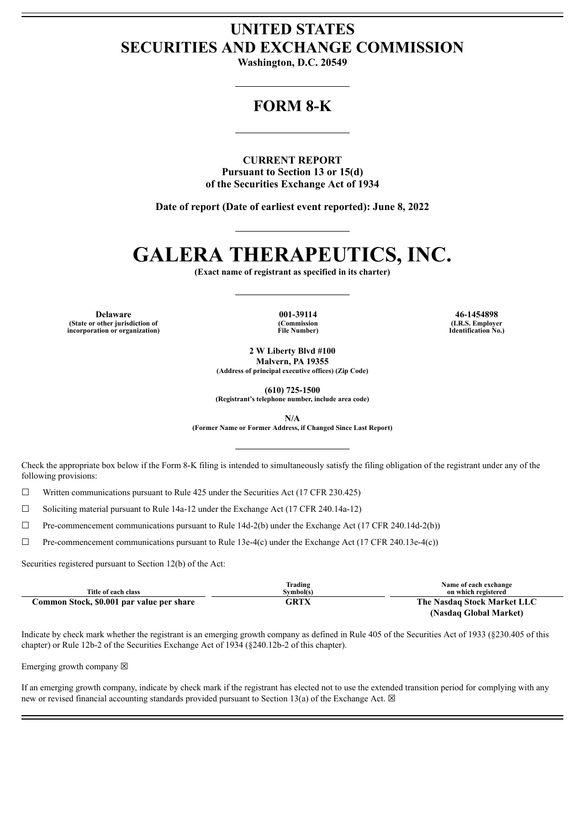## **UNITED STATES SECURITIES AND EXCHANGE COMMISSION**

**Washington, D.C. 20549**

## **FORM 8-K**

**CURRENT REPORT Pursuant to Section 13 or 15(d) of the Securities Exchange Act of 1934**

**Date of report (Date of earliest event reported): June 8, 2022**

# **GALERA THERAPEUTICS, INC.**

**(Exact name of registrant as specified in its charter)**

**(State or other jurisdiction of incorporation or organization)** **(Commission File Number)**

**Delaware 001-39114 46-1454898 (I.R.S. Employer Identification No.)**

> **2 W Liberty Blvd #100 Malvern, PA 19355**

**(Address of principal executive offices) (Zip Code)**

**(610) 725-1500**

**(Registrant's telephone number, include area code)**

**N/A**

**(Former Name or Former Address, if Changed Since Last Report)**

Check the appropriate box below if the Form 8-K filing is intended to simultaneously satisfy the filing obligation of the registrant under any of the following provisions:

 $\Box$  Written communications pursuant to Rule 425 under the Securities Act (17 CFR 230.425)

☐ Soliciting material pursuant to Rule 14a-12 under the Exchange Act (17 CFR 240.14a-12)

 $\Box$  Pre-commencement communications pursuant to Rule 14d-2(b) under the Exchange Act (17 CFR 240.14d-2(b))

☐ Pre-commencement communications pursuant to Rule 13e-4(c) under the Exchange Act (17 CFR 240.13e-4(c))

Securities registered pursuant to Section 12(b) of the Act:

| Title of each class                       | Trading<br>Symbol(s) | Name of each exchange<br>on which registered |
|-------------------------------------------|----------------------|----------------------------------------------|
| Common Stock, \$0.001 par value per share | GRTX                 | The Nasdaq Stock Market LLC                  |
|                                           |                      | (Nasdaq Global Market)                       |

Indicate by check mark whether the registrant is an emerging growth company as defined in Rule 405 of the Securities Act of 1933 (§230.405 of this chapter) or Rule 12b-2 of the Securities Exchange Act of 1934 (§240.12b-2 of this chapter).

Emerging growth company  $\boxtimes$ 

If an emerging growth company, indicate by check mark if the registrant has elected not to use the extended transition period for complying with any new or revised financial accounting standards provided pursuant to Section 13(a) of the Exchange Act.  $\boxtimes$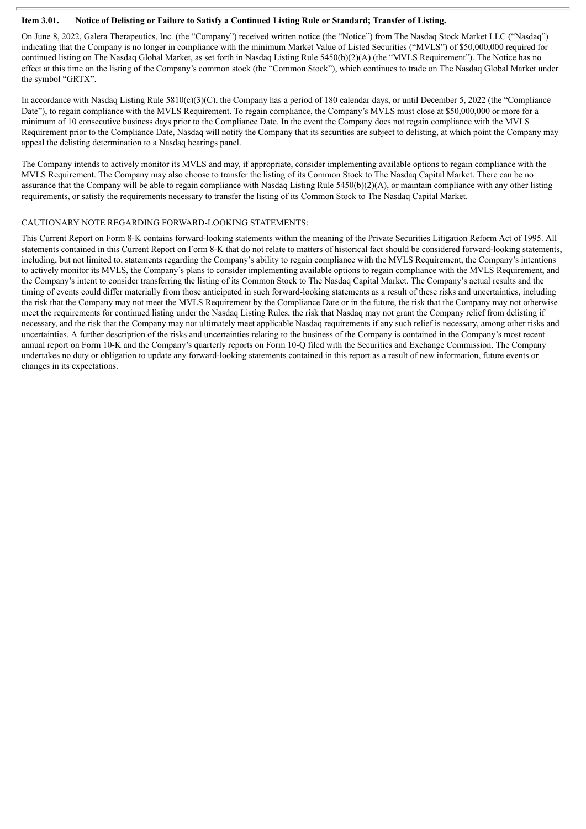#### Item 3.01. Notice of Delisting or Failure to Satisfy a Continued Listing Rule or Standard; Transfer of Listing.

On June 8, 2022, Galera Therapeutics, Inc. (the "Company") received written notice (the "Notice") from The Nasdaq Stock Market LLC ("Nasdaq") indicating that the Company is no longer in compliance with the minimum Market Value of Listed Securities ("MVLS") of \$50,000,000 required for continued listing on The Nasdaq Global Market, as set forth in Nasdaq Listing Rule 5450(b)(2)(A) (the "MVLS Requirement"). The Notice has no effect at this time on the listing of the Company's common stock (the "Common Stock"), which continues to trade on The Nasdaq Global Market under the symbol "GRTX".

In accordance with Nasdaq Listing Rule 5810(c)(3)(C), the Company has a period of 180 calendar days, or until December 5, 2022 (the "Compliance" Date"), to regain compliance with the MVLS Requirement. To regain compliance, the Company's MVLS must close at \$50,000,000 or more for a minimum of 10 consecutive business days prior to the Compliance Date. In the event the Company does not regain compliance with the MVLS Requirement prior to the Compliance Date, Nasdaq will notify the Company that its securities are subject to delisting, at which point the Company may appeal the delisting determination to a Nasdaq hearings panel.

The Company intends to actively monitor its MVLS and may, if appropriate, consider implementing available options to regain compliance with the MVLS Requirement. The Company may also choose to transfer the listing of its Common Stock to The Nasdaq Capital Market. There can be no assurance that the Company will be able to regain compliance with Nasdaq Listing Rule 5450(b)(2)(A), or maintain compliance with any other listing requirements, or satisfy the requirements necessary to transfer the listing of its Common Stock to The Nasdaq Capital Market.

#### CAUTIONARY NOTE REGARDING FORWARD-LOOKING STATEMENTS:

This Current Report on Form 8-K contains forward-looking statements within the meaning of the Private Securities Litigation Reform Act of 1995. All statements contained in this Current Report on Form 8-K that do not relate to matters of historical fact should be considered forward-looking statements, including, but not limited to, statements regarding the Company's ability to regain compliance with the MVLS Requirement, the Company's intentions to actively monitor its MVLS, the Company's plans to consider implementing available options to regain compliance with the MVLS Requirement, and the Company's intent to consider transferring the listing of its Common Stock to The Nasdaq Capital Market. The Company's actual results and the timing of events could differ materially from those anticipated in such forward-looking statements as a result of these risks and uncertainties, including the risk that the Company may not meet the MVLS Requirement by the Compliance Date or in the future, the risk that the Company may not otherwise meet the requirements for continued listing under the Nasdaq Listing Rules, the risk that Nasdaq may not grant the Company relief from delisting if necessary, and the risk that the Company may not ultimately meet applicable Nasdaq requirements if any such relief is necessary, among other risks and uncertainties. A further description of the risks and uncertainties relating to the business of the Company is contained in the Company's most recent annual report on Form 10-K and the Company's quarterly reports on Form 10-Q filed with the Securities and Exchange Commission. The Company undertakes no duty or obligation to update any forward-looking statements contained in this report as a result of new information, future events or changes in its expectations.